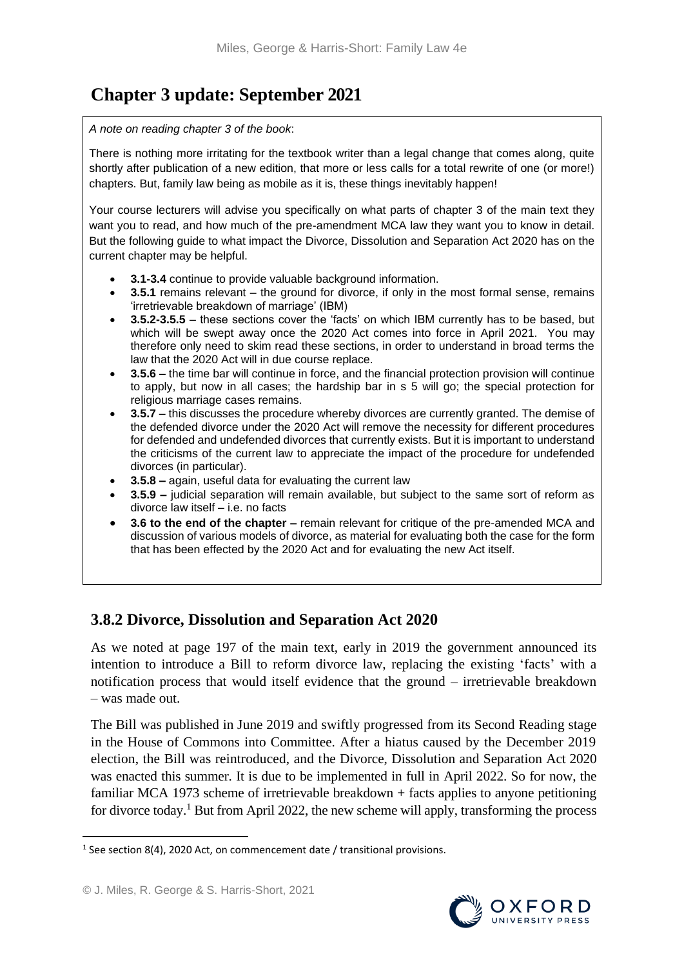# **Chapter 3 update: September 2021**

#### *A note on reading chapter 3 of the book*:

There is nothing more irritating for the textbook writer than a legal change that comes along, quite shortly after publication of a new edition, that more or less calls for a total rewrite of one (or more!) chapters. But, family law being as mobile as it is, these things inevitably happen!

Your course lecturers will advise you specifically on what parts of chapter 3 of the main text they want you to read, and how much of the pre-amendment MCA law they want you to know in detail. But the following guide to what impact the Divorce, Dissolution and Separation Act 2020 has on the current chapter may be helpful.

- **3.1-3.4** continue to provide valuable background information.
- **3.5.1** remains relevant the ground for divorce, if only in the most formal sense, remains 'irretrievable breakdown of marriage' (IBM)
- **3.5.2-3.5.5** these sections cover the 'facts' on which IBM currently has to be based, but which will be swept away once the 2020 Act comes into force in April 2021. You may therefore only need to skim read these sections, in order to understand in broad terms the law that the 2020 Act will in due course replace.
- **3.5.6** the time bar will continue in force, and the financial protection provision will continue to apply, but now in all cases; the hardship bar in s 5 will go; the special protection for religious marriage cases remains.
- **3.5.7** this discusses the procedure whereby divorces are currently granted. The demise of the defended divorce under the 2020 Act will remove the necessity for different procedures for defended and undefended divorces that currently exists. But it is important to understand the criticisms of the current law to appreciate the impact of the procedure for undefended divorces (in particular).
- **3.5.8 –** again, useful data for evaluating the current law
- **3.5.9 –** judicial separation will remain available, but subject to the same sort of reform as divorce law itself – i.e. no facts
- **3.6 to the end of the chapter –** remain relevant for critique of the pre-amended MCA and discussion of various models of divorce, as material for evaluating both the case for the form that has been effected by the 2020 Act and for evaluating the new Act itself.

# **3.8.2 Divorce, Dissolution and Separation Act 2020**

As we noted at page 197 of the main text, early in 2019 the government announced its intention to introduce a Bill to reform divorce law, replacing the existing 'facts' with a notification process that would itself evidence that the ground – irretrievable breakdown – was made out.

The Bill was published in June 2019 and swiftly progressed from its Second Reading stage in the House of Commons into Committee. After a hiatus caused by the December 2019 election, the Bill was reintroduced, and the Divorce, Dissolution and Separation Act 2020 was enacted this summer. It is due to be implemented in full in April 2022. So for now, the familiar MCA 1973 scheme of irretrievable breakdown + facts applies to anyone petitioning for divorce today.<sup>1</sup> But from April 2022, the new scheme will apply, transforming the process

**.** 

 $1$  See section 8(4), 2020 Act, on commencement date / transitional provisions.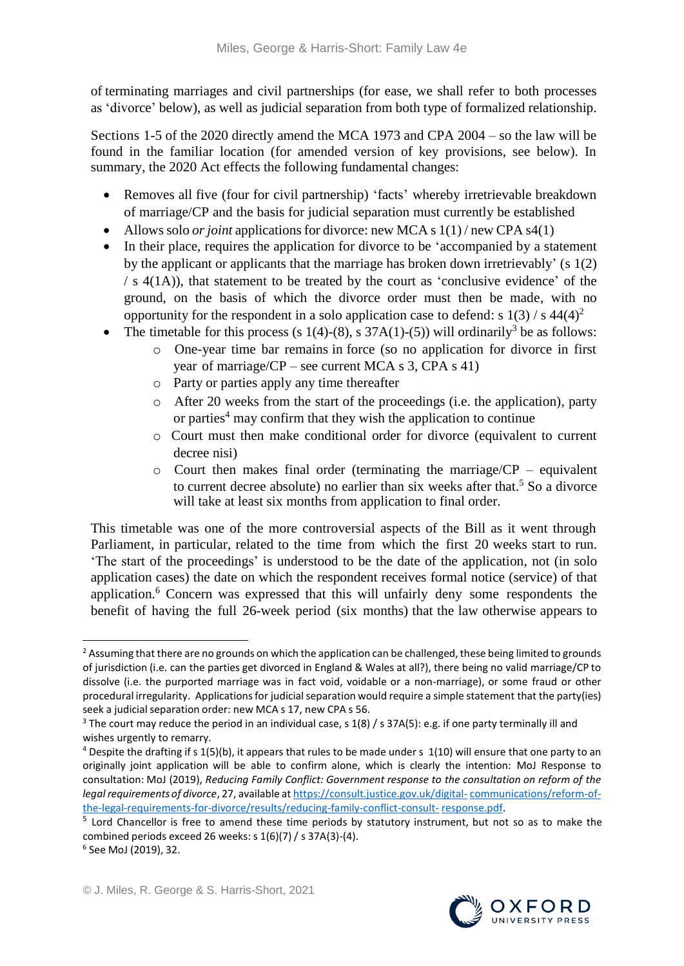of terminating marriages and civil partnerships (for ease, we shall refer to both processes as 'divorce' below), as well as judicial separation from both type of formalized relationship.

Sections 1-5 of the 2020 directly amend the MCA 1973 and CPA 2004 – so the law will be found in the familiar location (for amended version of key provisions, see below). In summary, the 2020 Act effects the following fundamental changes:

- Removes all five (four for civil partnership) 'facts' whereby irretrievable breakdown of marriage/CP and the basis for judicial separation must currently be established
- Allows solo *or joint* applications for divorce: new MCA s 1(1) / new CPA s4(1)
- In their place, requires the application for divorce to be 'accompanied by a statement by the applicant or applicants that the marriage has broken down irretrievably' (s 1(2)  $/ s 4(1A)$ , that statement to be treated by the court as 'conclusive evidence' of the ground, on the basis of which the divorce order must then be made, with no opportunity for the respondent in a solo application case to defend: s  $1(3)$  / s  $44(4)^2$
- The timetable for this process (s 1(4)-(8), s 37A(1)-(5)) will ordinarily<sup>3</sup> be as follows:
	- o One-year time bar remains in force (so no application for divorce in first year of marriage/ $CP$  – see current MCA s 3, CPA s 41)
	- o Party or parties apply any time thereafter
	- o After 20 weeks from the start of the proceedings (i.e. the application), party or parties <sup>4</sup> may confirm that they wish the application to continue
	- o Court must then make conditional order for divorce (equivalent to current decree nisi)
	- $\circ$  Court then makes final order (terminating the marriage/CP equivalent to current decree absolute) no earlier than six weeks after that.<sup>5</sup> So a divorce will take at least six months from application to final order.

This timetable was one of the more controversial aspects of the Bill as it went through Parliament, in particular, related to the time from which the first 20 weeks start to run. 'The start of the proceedings' is understood to be the date of the application, not (in solo application cases) the date on which the respondent receives formal notice (service) of that application. <sup>6</sup> Concern was expressed that this will unfairly deny some respondents the benefit of having the full 26-week period (six months) that the law otherwise appears to

<sup>&</sup>lt;sup>5</sup> Lord Chancellor is free to amend these time periods by statutory instrument, but not so as to make the combined periods exceed 26 weeks: s 1(6)(7) / s 37A(3)-(4).



**<sup>.</sup>** <sup>2</sup> Assuming that there are no grounds on which the application can be challenged, these being limited to grounds of jurisdiction (i.e. can the parties get divorced in England & Wales at all?), there being no valid marriage/CP to dissolve (i.e. the purported marriage was in fact void, voidable or a non-marriage), or some fraud or other procedural irregularity. Applications for judicial separation would require a simple statement that the party(ies) seek a judicial separation order: new MCA s 17, new CPA s 56.

<sup>&</sup>lt;sup>3</sup> The court may reduce the period in an individual case, s 1(8) / s 37A(5): e.g. if one party terminally ill and wishes urgently to remarry.

 $4$  Despite the drafting if s 1(5)(b), it appears that rules to be made under s 1(10) will ensure that one party to an originally joint application will be able to confirm alone, which is clearly the intention: MoJ Response to consultation: MoJ (2019), *Reducing Family Conflict: Government response to the consultation on reform of the legal requirements of divorce*, 27, available at [https://consult.justice.gov.uk/digital-](https://consult.justice.gov.uk/digital-communications/reform-of-the-legal-requirements-for-divorce/results/reducing-family-conflict-consult-response.pdf)[communications/reform-of](https://consult.justice.gov.uk/digital-communications/reform-of-the-legal-requirements-for-divorce/results/reducing-family-conflict-consult-response.pdf)[the-legal-requirements-for-divorce/results/reducing-family-conflict-consult-](https://consult.justice.gov.uk/digital-communications/reform-of-the-legal-requirements-for-divorce/results/reducing-family-conflict-consult-response.pdf) [response.pdf.](https://consult.justice.gov.uk/digital-communications/reform-of-the-legal-requirements-for-divorce/results/reducing-family-conflict-consult-response.pdf)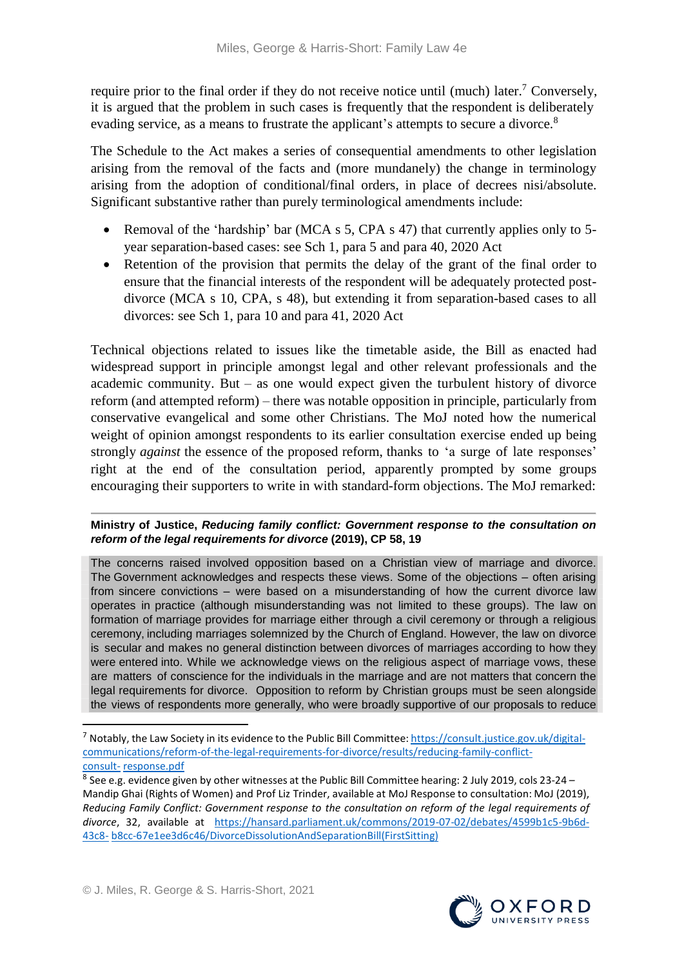require prior to the final order if they do not receive notice until (much) later.<sup>7</sup> Conversely, it is argued that the problem in such cases is frequently that the respondent is deliberately evading service, as a means to frustrate the applicant's attempts to secure a divorce.<sup>8</sup>

The Schedule to the Act makes a series of consequential amendments to other legislation arising from the removal of the facts and (more mundanely) the change in terminology arising from the adoption of conditional/final orders, in place of decrees nisi/absolute. Significant substantive rather than purely terminological amendments include:

- Removal of the 'hardship' bar (MCA s 5, CPA s 47) that currently applies only to 5year separation-based cases: see Sch 1, para 5 and para 40, 2020 Act
- Retention of the provision that permits the delay of the grant of the final order to ensure that the financial interests of the respondent will be adequately protected postdivorce (MCA s 10, CPA, s 48), but extending it from separation-based cases to all divorces: see Sch 1, para 10 and para 41, 2020 Act

Technical objections related to issues like the timetable aside, the Bill as enacted had widespread support in principle amongst legal and other relevant professionals and the academic community. But – as one would expect given the turbulent history of divorce reform (and attempted reform) – there was notable opposition in principle, particularly from conservative evangelical and some other Christians. The MoJ noted how the numerical weight of opinion amongst respondents to its earlier consultation exercise ended up being strongly *against* the essence of the proposed reform, thanks to 'a surge of late responses' right at the end of the consultation period, apparently prompted by some groups encouraging their supporters to write in with standard-form objections. The MoJ remarked:

#### **Ministry of Justice,** *Reducing family conflict: Government response to the consultation on reform of the legal requirements for divorce* **(2019), CP 58, 19**

The concerns raised involved opposition based on a Christian view of marriage and divorce. The Government acknowledges and respects these views. Some of the objections – often arising from sincere convictions – were based on a misunderstanding of how the current divorce law operates in practice (although misunderstanding was not limited to these groups). The law on formation of marriage provides for marriage either through a civil ceremony or through a religious ceremony, including marriages solemnized by the Church of England. However, the law on divorce is secular and makes no general distinction between divorces of marriages according to how they were entered into. While we acknowledge views on the religious aspect of marriage vows, these are matters of conscience for the individuals in the marriage and are not matters that concern the legal requirements for divorce. Opposition to reform by Christian groups must be seen alongside the views of respondents more generally, who were broadly supportive of our proposals to reduce

**.** 



<sup>7</sup> Notably, the Law Society in its evidence to the Public Bill Committee: [https://consult.justice.gov.uk/digital](https://consult.justice.gov.uk/digital-communications/reform-of-the-legal-requirements-for-divorce/results/reducing-family-conflict-consult-response.pdf)[communications/reform-of-the-legal-requirements-for-divorce/results/reducing-family-conflict](https://consult.justice.gov.uk/digital-communications/reform-of-the-legal-requirements-for-divorce/results/reducing-family-conflict-consult-response.pdf)[consult-](https://consult.justice.gov.uk/digital-communications/reform-of-the-legal-requirements-for-divorce/results/reducing-family-conflict-consult-response.pdf) [response.pdf](https://consult.justice.gov.uk/digital-communications/reform-of-the-legal-requirements-for-divorce/results/reducing-family-conflict-consult-response.pdf)

<sup>&</sup>lt;sup>8</sup> See e.g. evidence given by other witnesses at the Public Bill Committee hearing: 2 July 2019, cols 23-24 -Mandip Ghai (Rights of Women) and Prof Liz Trinder, available at MoJ Response to consultation: MoJ (2019), *Reducing Family Conflict: Government response to the consultation on reform of the legal requirements of divorce*, 32, available at [https://hansard.parliament.uk/commons/2019-07-02/debates/4599b1c5-9b6d-](https://hansard.parliament.uk/commons/2019-07-02/debates/4599b1c5-9b6d-43c8-b8cc-67e1ee3d6c46/DivorceDissolutionAndSeparationBill(FirstSitting))[43c8-](https://hansard.parliament.uk/commons/2019-07-02/debates/4599b1c5-9b6d-43c8-b8cc-67e1ee3d6c46/DivorceDissolutionAndSeparationBill(FirstSitting)) [b8cc-67e1ee3d6c46/DivorceDissolutionAndSeparationBill\(FirstSitting\)](https://hansard.parliament.uk/commons/2019-07-02/debates/4599b1c5-9b6d-43c8-b8cc-67e1ee3d6c46/DivorceDissolutionAndSeparationBill(FirstSitting))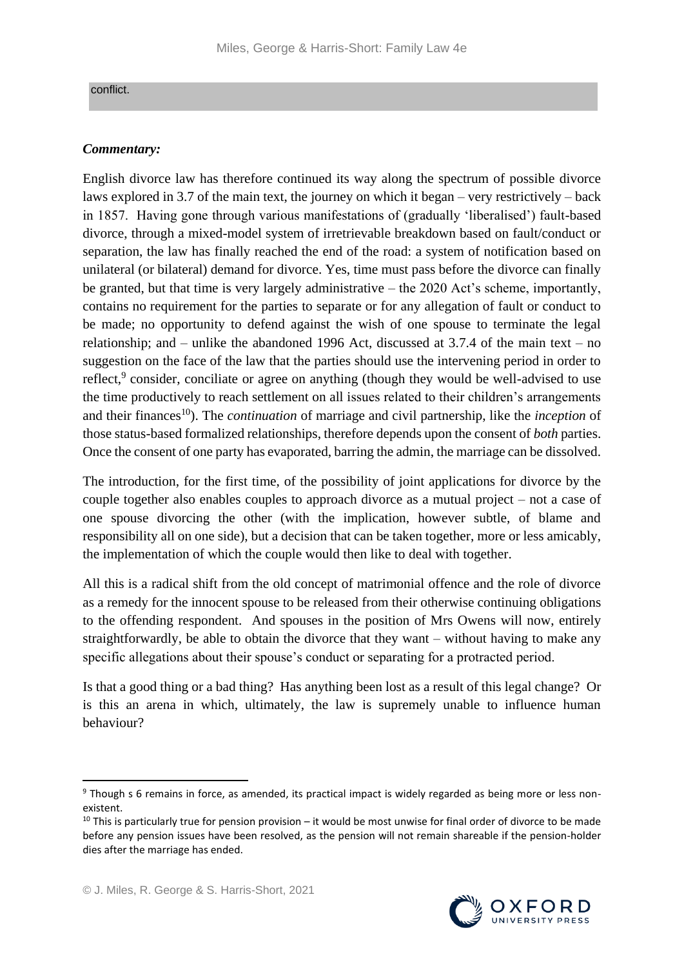#### conflict.

## *Commentary:*

English divorce law has therefore continued its way along the spectrum of possible divorce laws explored in 3.7 of the main text, the journey on which it began – very restrictively – back in 1857. Having gone through various manifestations of (gradually 'liberalised') fault-based divorce, through a mixed-model system of irretrievable breakdown based on fault/conduct or separation, the law has finally reached the end of the road: a system of notification based on unilateral (or bilateral) demand for divorce. Yes, time must pass before the divorce can finally be granted, but that time is very largely administrative – the 2020 Act's scheme, importantly, contains no requirement for the parties to separate or for any allegation of fault or conduct to be made; no opportunity to defend against the wish of one spouse to terminate the legal relationship; and – unlike the abandoned 1996 Act, discussed at 3.7.4 of the main text – no suggestion on the face of the law that the parties should use the intervening period in order to reflect,<sup>9</sup> consider, conciliate or agree on anything (though they would be well-advised to use the time productively to reach settlement on all issues related to their children's arrangements and their finances<sup>10</sup>). The *continuation* of marriage and civil partnership, like the *inception* of those status-based formalized relationships, therefore depends upon the consent of *both* parties. Once the consent of one party has evaporated, barring the admin, the marriage can be dissolved.

The introduction, for the first time, of the possibility of joint applications for divorce by the couple together also enables couples to approach divorce as a mutual project – not a case of one spouse divorcing the other (with the implication, however subtle, of blame and responsibility all on one side), but a decision that can be taken together, more or less amicably, the implementation of which the couple would then like to deal with together.

All this is a radical shift from the old concept of matrimonial offence and the role of divorce as a remedy for the innocent spouse to be released from their otherwise continuing obligations to the offending respondent. And spouses in the position of Mrs Owens will now, entirely straightforwardly, be able to obtain the divorce that they want – without having to make any specific allegations about their spouse's conduct or separating for a protracted period.

Is that a good thing or a bad thing? Has anything been lost as a result of this legal change? Or is this an arena in which, ultimately, the law is supremely unable to influence human behaviour?

**.** 

<sup>9</sup> Though s 6 remains in force, as amended, its practical impact is widely regarded as being more or less nonexistent.

 $10$  This is particularly true for pension provision – it would be most unwise for final order of divorce to be made before any pension issues have been resolved, as the pension will not remain shareable if the pension-holder dies after the marriage has ended.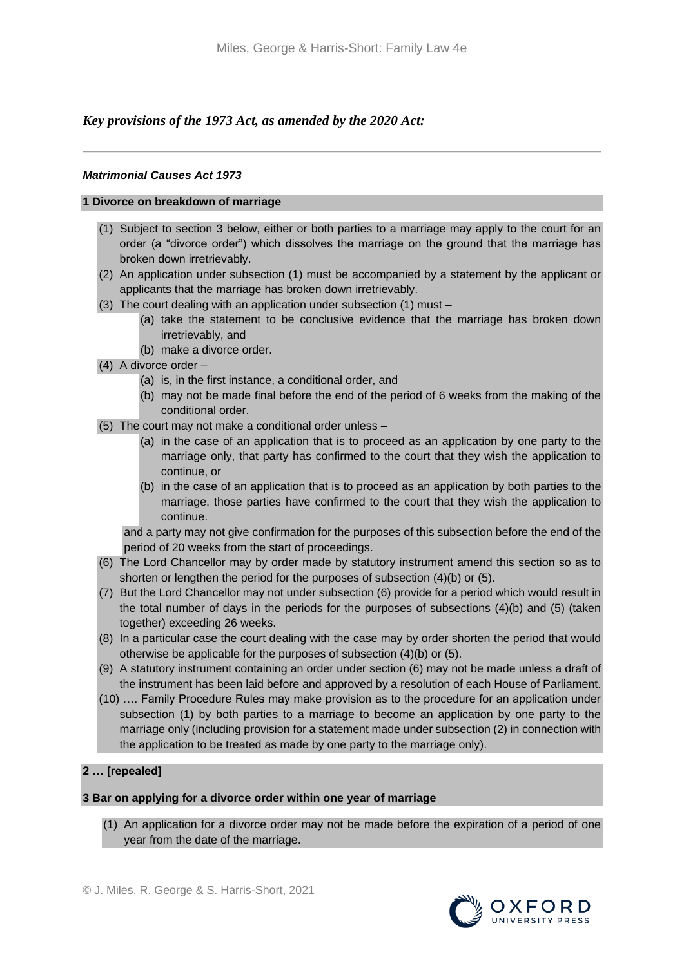## *Key provisions of the 1973 Act, as amended by the 2020 Act:*

#### *Matrimonial Causes Act 1973*

#### **1 Divorce on breakdown of marriage**

- (1) Subject to section 3 below, either or both parties to a marriage may apply to the court for an order (a "divorce order") which dissolves the marriage on the ground that the marriage has broken down irretrievably.
- (2) An application under subsection (1) must be accompanied by a statement by the applicant or applicants that the marriage has broken down irretrievably.
- (3) The court dealing with an application under subsection (1) must
	- (a) take the statement to be conclusive evidence that the marriage has broken down irretrievably, and
	- (b) make a divorce order.
- (4) A divorce order
	- (a) is, in the first instance, a conditional order, and
	- (b) may not be made final before the end of the period of 6 weeks from the making of the conditional order.
- (5) The court may not make a conditional order unless
	- (a) in the case of an application that is to proceed as an application by one party to the marriage only, that party has confirmed to the court that they wish the application to continue, or
	- (b) in the case of an application that is to proceed as an application by both parties to the marriage, those parties have confirmed to the court that they wish the application to continue.

and a party may not give confirmation for the purposes of this subsection before the end of the period of 20 weeks from the start of proceedings.

- (6) The Lord Chancellor may by order made by statutory instrument amend this section so as to shorten or lengthen the period for the purposes of subsection (4)(b) or (5).
- (7) But the Lord Chancellor may not under subsection (6) provide for a period which would result in the total number of days in the periods for the purposes of subsections (4)(b) and (5) (taken together) exceeding 26 weeks.
- (8) In a particular case the court dealing with the case may by order shorten the period that would otherwise be applicable for the purposes of subsection (4)(b) or (5).
- (9) A statutory instrument containing an order under section (6) may not be made unless a draft of the instrument has been laid before and approved by a resolution of each House of Parliament.
- (10) …. Family Procedure Rules may make provision as to the procedure for an application under subsection (1) by both parties to a marriage to become an application by one party to the marriage only (including provision for a statement made under subsection (2) in connection with the application to be treated as made by one party to the marriage only).

## **2 … [repealed]**

#### **3 Bar on applying for a divorce order within one year of marriage**

(1) An application for a divorce order may not be made before the expiration of a period of one year from the date of the marriage.

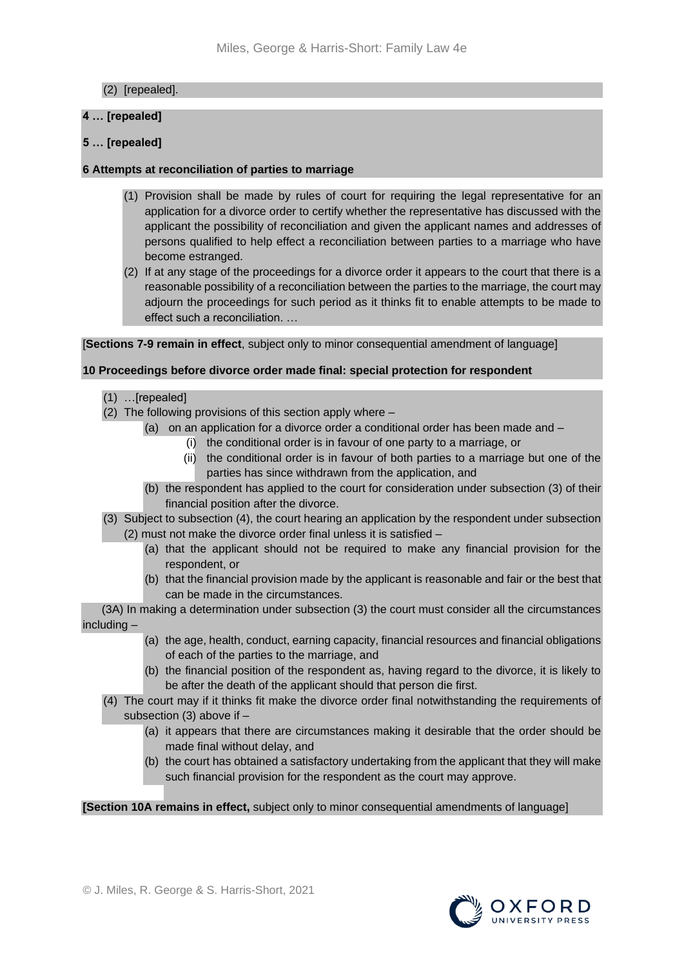## (2) [repealed].

## **4 … [repealed]**

## **5 … [repealed]**

## **6 Attempts at reconciliation of parties to marriage**

- (1) Provision shall be made by rules of court for requiring the legal representative for an application for a divorce order to certify whether the representative has discussed with the applicant the possibility of reconciliation and given the applicant names and addresses of persons qualified to help effect a reconciliation between parties to a marriage who have become estranged.
- (2) If at any stage of the proceedings for a divorce order it appears to the court that there is a reasonable possibility of a reconciliation between the parties to the marriage, the court may adjourn the proceedings for such period as it thinks fit to enable attempts to be made to effect such a reconciliation. …

[**Sections 7-9 remain in effect**, subject only to minor consequential amendment of language]

#### **10 Proceedings before divorce order made final: special protection for respondent**

- (1) …[repealed]
- (2) The following provisions of this section apply where
	- (a) on an application for a divorce order a conditional order has been made and
		- (i) the conditional order is in favour of one party to a marriage, or
		- (ii) the conditional order is in favour of both parties to a marriage but one of the parties has since withdrawn from the application, and
	- (b) the respondent has applied to the court for consideration under subsection (3) of their financial position after the divorce.
- (3) Subject to subsection (4), the court hearing an application by the respondent under subsection (2) must not make the divorce order final unless it is satisfied –
	- (a) that the applicant should not be required to make any financial provision for the respondent, or
	- (b) that the financial provision made by the applicant is reasonable and fair or the best that can be made in the circumstances.

 (3A) In making a determination under subsection (3) the court must consider all the circumstances including –

- (a) the age, health, conduct, earning capacity, financial resources and financial obligations of each of the parties to the marriage, and
- (b) the financial position of the respondent as, having regard to the divorce, it is likely to be after the death of the applicant should that person die first.
- (4) The court may if it thinks fit make the divorce order final notwithstanding the requirements of subsection (3) above if –
	- (a) it appears that there are circumstances making it desirable that the order should be made final without delay, and
	- (b) the court has obtained a satisfactory undertaking from the applicant that they will make such financial provision for the respondent as the court may approve.

#### **[Section 10A remains in effect,** subject only to minor consequential amendments of language]